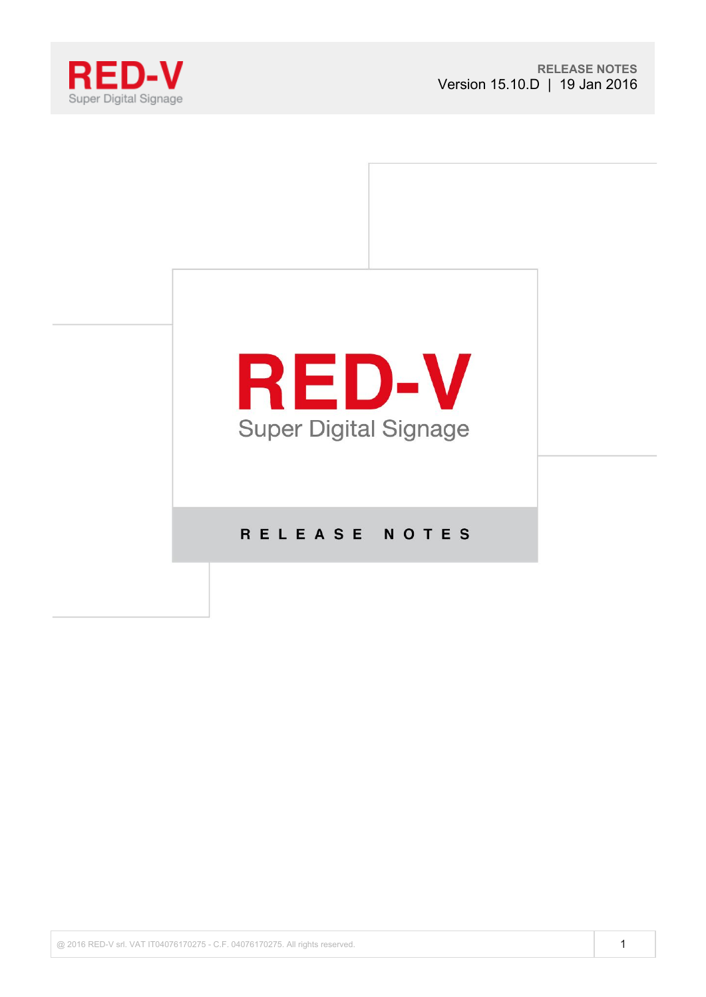



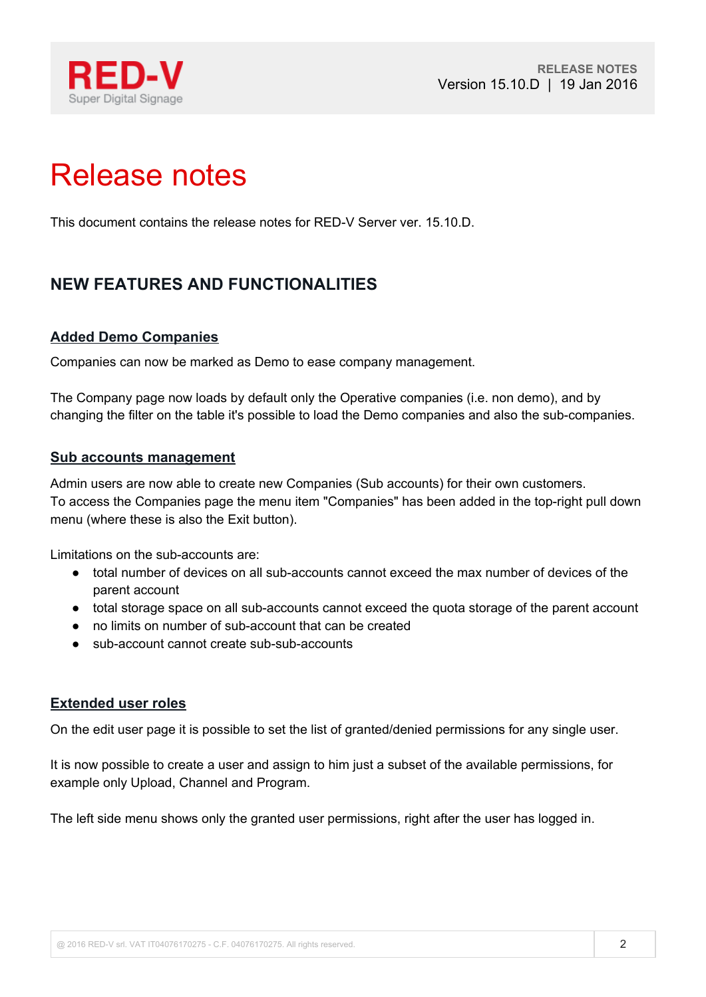

# Release notes

This document contains the release notes for RED-V Server ver. 15.10.D.

# **NEW FEATURES AND FUNCTIONALITIES**

## **Added Demo Companies**

Companies can now be marked as Demo to ease company management.

The Company page now loads by default only the Operative companies (i.e. non demo), and by changing the filter on the table it's possible to load the Demo companies and also the sub-companies.

#### **Sub accounts management**

Admin users are now able to create new Companies (Sub accounts) for their own customers. To access the Companies page the menu item "Companies" has been added in the top-right pull down menu (where these is also the Exit button).

Limitations on the sub-accounts are:

- total number of devices on all sub-accounts cannot exceed the max number of devices of the parent account
- total storage space on all sub-accounts cannot exceed the quota storage of the parent account
- no limits on number of sub-account that can be created
- sub-account cannot create sub-sub-accounts

#### **Extended user roles**

On the edit user page it is possible to set the list of granted/denied permissions for any single user.

It is now possible to create a user and assign to him just a subset of the available permissions, for example only Upload, Channel and Program.

The left side menu shows only the granted user permissions, right after the user has logged in.